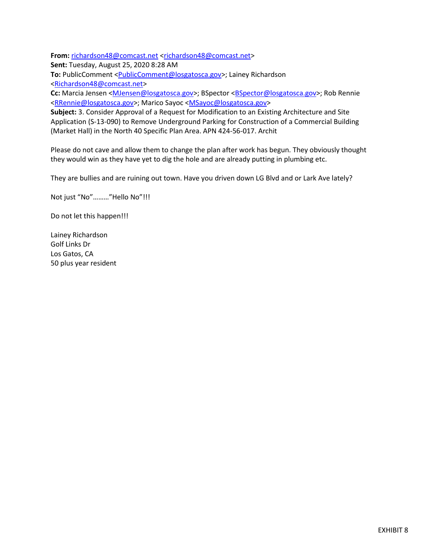**From:** [richardson48@comcast.net](mailto:richardson48@comcast.net) [<richardson48@comcast.net>](mailto:richardson48@comcast.net)

**Sent:** Tuesday, August 25, 2020 8:28 AM

**To:** PublicComment <**PublicComment@losgatosca.gov**>; Lainey Richardson

[<Richardson48@comcast.net>](mailto:Richardson48@comcast.net)

**Cc:** Marcia Jensen [<MJensen@losgatosca.gov>](mailto:MJensen@losgatosca.gov); BSpector [<BSpector@losgatosca.gov>](mailto:BSpector@losgatosca.gov); Rob Rennie [<RRennie@losgatosca.gov>](mailto:RRennie@losgatosca.gov); Marico Sayoc [<MSayoc@losgatosca.gov>](mailto:MSayoc@losgatosca.gov)

**Subject:** 3. Consider Approval of a Request for Modification to an Existing Architecture and Site Application (S-13-090) to Remove Underground Parking for Construction of a Commercial Building (Market Hall) in the North 40 Specific Plan Area. APN 424-56-017. Archit

Please do not cave and allow them to change the plan after work has begun. They obviously thought they would win as they have yet to dig the hole and are already putting in plumbing etc.

They are bullies and are ruining out town. Have you driven down LG Blvd and or Lark Ave lately?

Not just "No"………"Hello No"!!!

Do not let this happen!!!

Lainey Richardson Golf Links Dr Los Gatos, CA 50 plus year resident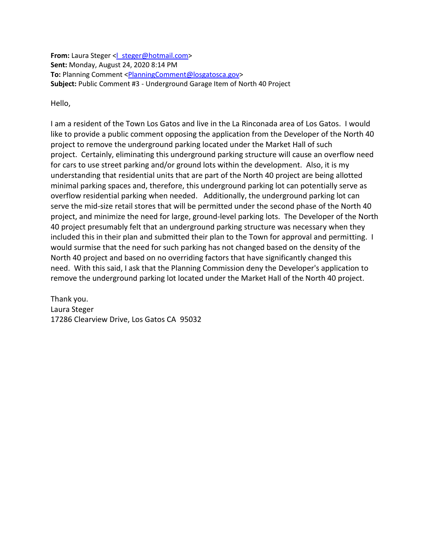**From:** Laura Steger < | steger@hotmail.com> **Sent:** Monday, August 24, 2020 8:14 PM **To:** Planning Comment [<PlanningComment@losgatosca.gov>](mailto:PlanningComment@losgatosca.gov) **Subject:** Public Comment #3 - Underground Garage Item of North 40 Project

Hello,

I am a resident of the Town Los Gatos and live in the La Rinconada area of Los Gatos. I would like to provide a public comment opposing the application from the Developer of the North 40 project to remove the underground parking located under the Market Hall of such project. Certainly, eliminating this underground parking structure will cause an overflow need for cars to use street parking and/or ground lots within the development. Also, it is my understanding that residential units that are part of the North 40 project are being allotted minimal parking spaces and, therefore, this underground parking lot can potentially serve as overflow residential parking when needed. Additionally, the underground parking lot can serve the mid-size retail stores that will be permitted under the second phase of the North 40 project, and minimize the need for large, ground-level parking lots. The Developer of the North 40 project presumably felt that an underground parking structure was necessary when they included this in their plan and submitted their plan to the Town for approval and permitting. I would surmise that the need for such parking has not changed based on the density of the North 40 project and based on no overriding factors that have significantly changed this need. With this said, I ask that the Planning Commission deny the Developer's application to remove the underground parking lot located under the Market Hall of the North 40 project.

Thank you. Laura Steger 17286 Clearview Drive, Los Gatos CA 95032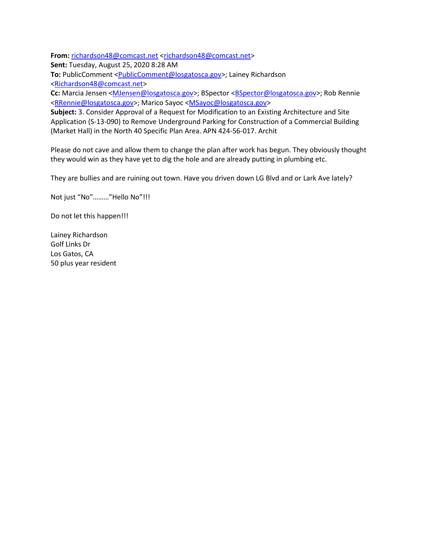**From:** [richardson48@comcast.net](mailto:richardson48@comcast.net) [<richardson48@comcast.net>](mailto:richardson48@comcast.net)

**Sent:** Tuesday, August 25, 2020 8:28 AM

To: PublicComment [<PublicComment@losgatosca.gov>](mailto:PublicComment@losgatosca.gov); Lainey Richardson

[<Richardson48@comcast.net>](mailto:Richardson48@comcast.net)

**Cc:** Marcia Jensen [<MJensen@losgatosca.gov>](mailto:MJensen@losgatosca.gov); BSpector [<BSpector@losgatosca.gov>](mailto:BSpector@losgatosca.gov); Rob Rennie [<RRennie@losgatosca.gov>](mailto:RRennie@losgatosca.gov); Marico Sayoc [<MSayoc@losgatosca.gov>](mailto:MSayoc@losgatosca.gov)

**Subject:** 3. Consider Approval of a Request for Modification to an Existing Architecture and Site Application (S-13-090) to Remove Underground Parking for Construction of a Commercial Building (Market Hall) in the North 40 Specific Plan Area. APN 424-56-017. Archit

Please do not cave and allow them to change the plan after work has begun. They obviously thought they would win as they have yet to dig the hole and are already putting in plumbing etc.

They are bullies and are ruining out town. Have you driven down LG Blvd and or Lark Ave lately?

Not just "No"………"Hello No"!!!

Do not let this happen!!!

Lainey Richardson Golf Links Dr Los Gatos, CA 50 plus year resident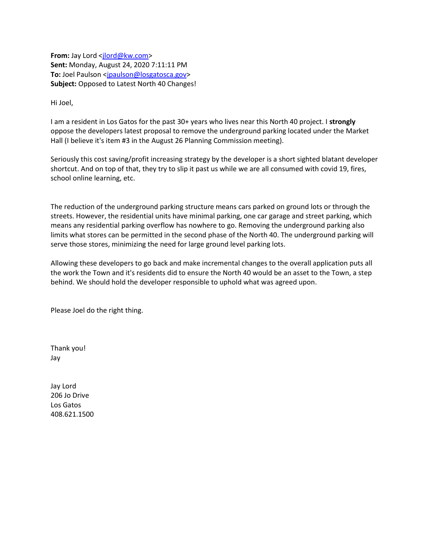**From:** Jay Lord <*jlord@kw.com>* **Sent:** Monday, August 24, 2020 7:11:11 PM **To:** Joel Paulson [<jpaulson@losgatosca.gov>](mailto:jpaulson@losgatosca.gov) **Subject:** Opposed to Latest North 40 Changes!

Hi Joel,

I am a resident in Los Gatos for the past 30+ years who lives near this North 40 project. I **strongly** oppose the developers latest proposal to remove the underground parking located under the Market Hall (I believe it's item #3 in the August 26 Planning Commission meeting).

Seriously this cost saving/profit increasing strategy by the developer is a short sighted blatant developer shortcut. And on top of that, they try to slip it past us while we are all consumed with covid 19, fires, school online learning, etc.

The reduction of the underground parking structure means cars parked on ground lots or through the streets. However, the residential units have minimal parking, one car garage and street parking, which means any residential parking overflow has nowhere to go. Removing the underground parking also limits what stores can be permitted in the second phase of the North 40. The underground parking will serve those stores, minimizing the need for large ground level parking lots.

Allowing these developers to go back and make incremental changes to the overall application puts all the work the Town and it's residents did to ensure the North 40 would be an asset to the Town, a step behind. We should hold the developer responsible to uphold what was agreed upon.

Please Joel do the right thing.

Thank you! Jay

Jay Lord 206 Jo Drive Los Gatos 408.621.1500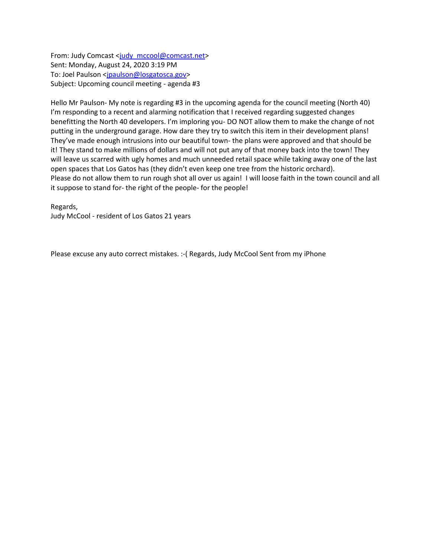From: Judy Comcast [<judy\\_mccool@comcast.net>](mailto:judy_mccool@comcast.net) Sent: Monday, August 24, 2020 3:19 PM To: Joel Paulson [<jpaulson@losgatosca.gov>](mailto:jpaulson@losgatosca.gov) Subject: Upcoming council meeting - agenda #3

Hello Mr Paulson- My note is regarding #3 in the upcoming agenda for the council meeting (North 40) I'm responding to a recent and alarming notification that I received regarding suggested changes benefitting the North 40 developers. I'm imploring you- DO NOT allow them to make the change of not putting in the underground garage. How dare they try to switch this item in their development plans! They've made enough intrusions into our beautiful town- the plans were approved and that should be it! They stand to make millions of dollars and will not put any of that money back into the town! They will leave us scarred with ugly homes and much unneeded retail space while taking away one of the last open spaces that Los Gatos has (they didn't even keep one tree from the historic orchard). Please do not allow them to run rough shot all over us again! I will loose faith in the town council and all it suppose to stand for- the right of the people- for the people!

Regards, Judy McCool - resident of Los Gatos 21 years

Please excuse any auto correct mistakes. :-( Regards, Judy McCool Sent from my iPhone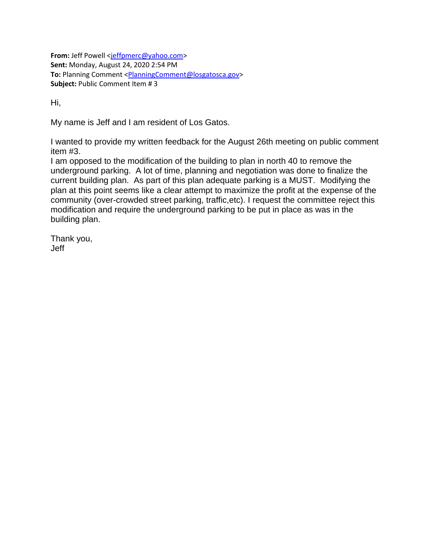**From:** Jeff Powell [<jeffpmerc@yahoo.com>](mailto:jeffpmerc@yahoo.com) **Sent:** Monday, August 24, 2020 2:54 PM **To:** Planning Comment [<PlanningComment@losgatosca.gov>](mailto:PlanningComment@losgatosca.gov) **Subject:** Public Comment Item # 3

Hi,

My name is Jeff and I am resident of Los Gatos.

I wanted to provide my written feedback for the August 26th meeting on public comment item #3.

I am opposed to the modification of the building to plan in north 40 to remove the underground parking. A lot of time, planning and negotiation was done to finalize the current building plan. As part of this plan adequate parking is a MUST. Modifying the plan at this point seems like a clear attempt to maximize the profit at the expense of the community (over-crowded street parking, traffic,etc). I request the committee reject this modification and require the underground parking to be put in place as was in the building plan.

Thank you, Jeff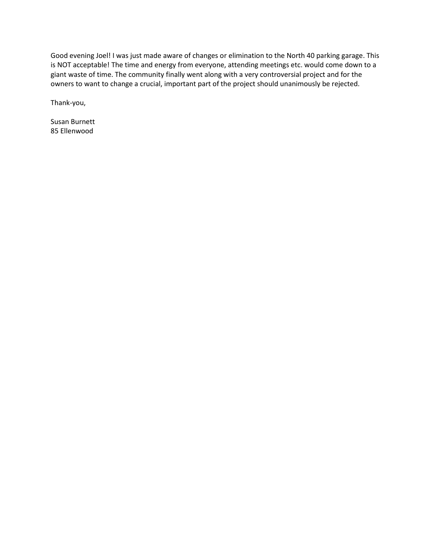Good evening Joel! I was just made aware of changes or elimination to the North 40 parking garage. This is NOT acceptable! The time and energy from everyone, attending meetings etc. would come down to a giant waste of time. The community finally went along with a very controversial project and for the owners to want to change a crucial, important part of the project should unanimously be rejected.

Thank-you,

Susan Burnett 85 Ellenwood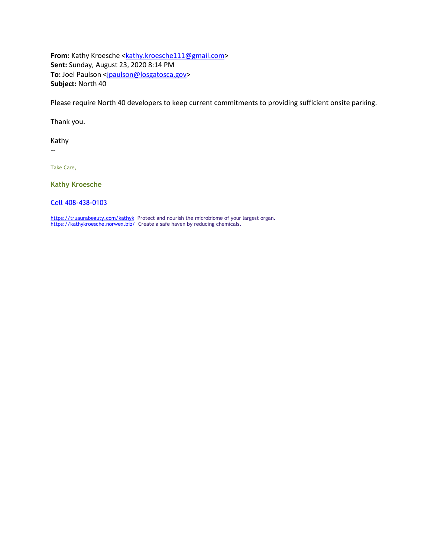From: Kathy Kroesche [<kathy.kroesche111@gmail.com>](mailto:kathy.kroesche111@gmail.com) **Sent:** Sunday, August 23, 2020 8:14 PM To: Joel Paulson [<jpaulson@losgatosca.gov>](mailto:jpaulson@losgatosca.gov) **Subject:** North 40

Please require North 40 developers to keep current commitments to providing sufficient onsite parking.

Thank you.

Kathy

--

Take Care,

**Kathy Kroesche**

Cell 408-438-0103

[https://truaurabeauty.com/kathyk](https://gcc02.safelinks.protection.outlook.com/?url=https%3A%2F%2Ftruaurabeauty.com%2Fkathyk&data=01%7C01%7Cjpaulson%40losgatosca.gov%7Ca71de92d8e064792ef8808d847dbc1ea%7C6d38cb6747eb4d139e7c523cd7ccecd5%7C1&sdata=I7jeUaV0UZSOnhiujTfMQBRpycbqio2LynsqymmR6Pg%3D&reserved=0) Protect and nourish the microbiome of your largest organ. [https://kathykroesche.norwex.biz/](https://gcc02.safelinks.protection.outlook.com/?url=https%3A%2F%2Fkathykroesche.norwex.biz%2F&data=01%7C01%7Cjpaulson%40losgatosca.gov%7Ca71de92d8e064792ef8808d847dbc1ea%7C6d38cb6747eb4d139e7c523cd7ccecd5%7C1&sdata=rrhYLE4QsQkhUtev8yU1PJ40sZwS587U84WV%2FTIlAXI%3D&reserved=0) Create a safe haven by reducing chemicals.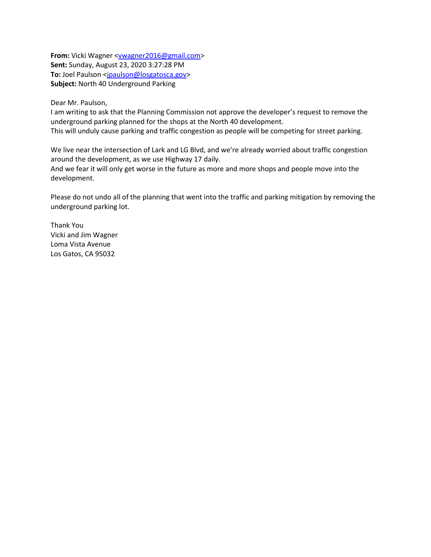From: Vicki Wagner [<vwagner2016@gmail.com>](mailto:vwagner2016@gmail.com) **Sent:** Sunday, August 23, 2020 3:27:28 PM To: Joel Paulson [<jpaulson@losgatosca.gov>](mailto:jpaulson@losgatosca.gov) **Subject:** North 40 Underground Parking

Dear Mr. Paulson,

I am writing to ask that the Planning Commission not approve the developer's request to remove the underground parking planned for the shops at the North 40 development. This will unduly cause parking and traffic congestion as people will be competing for street parking.

We live near the intersection of Lark and LG Blvd, and we're already worried about traffic congestion around the development, as we use Highway 17 daily.

And we fear it will only get worse in the future as more and more shops and people move into the development.

Please do not undo all of the planning that went into the traffic and parking mitigation by removing the underground parking lot.

Thank You Vicki and Jim Wagner Loma Vista Avenue Los Gatos, CA 95032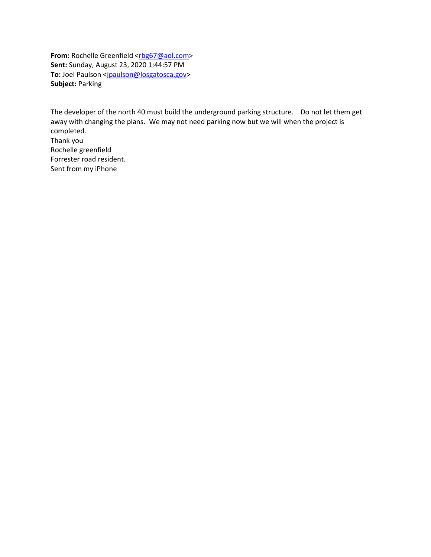From: Rochelle Greenfield [<rbg67@aol.com>](mailto:rbg67@aol.com) **Sent:** Sunday, August 23, 2020 1:44:57 PM To: Joel Paulson [<jpaulson@losgatosca.gov>](mailto:jpaulson@losgatosca.gov) **Subject:** Parking

The developer of the north 40 must build the underground parking structure. Do not let them get away with changing the plans. We may not need parking now but we will when the project is completed. Thank you Rochelle greenfield

Forrester road resident. Sent from my iPhone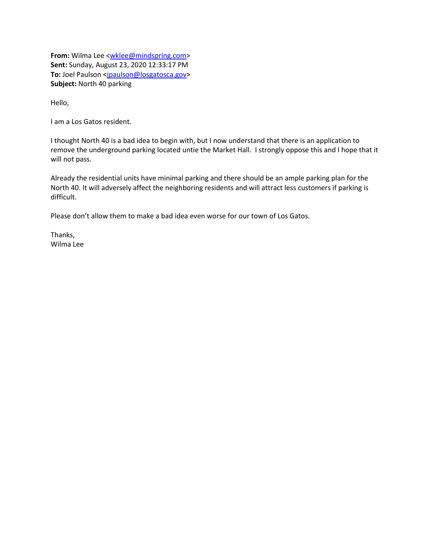**From:** Wilma Lee [<wklee@mindspring.com>](mailto:wklee@mindspring.com) **Sent:** Sunday, August 23, 2020 12:33:17 PM To: Joel Paulson [<jpaulson@losgatosca.gov>](mailto:jpaulson@losgatosca.gov) **Subject:** North 40 parking

Hello,

I am a Los Gatos resident.

I thought North 40 is a bad idea to begin with, but I now understand that there is an application to remove the underground parking located untie the Market Hall. I strongly oppose this and I hope that it will not pass.

Already the residential units have minimal parking and there should be an ample parking plan for the North 40. It will adversely affect the neighboring residents and will attract less customers if parking is difficult.

Please don't allow them to make a bad idea even worse for our town of Los Gatos.

Thanks, Wilma Lee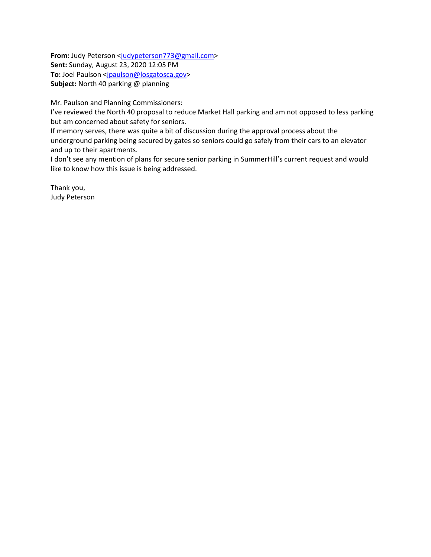From: Judy Peterson [<judypeterson773@gmail.com>](mailto:judypeterson773@gmail.com) **Sent:** Sunday, August 23, 2020 12:05 PM To: Joel Paulson [<jpaulson@losgatosca.gov>](mailto:jpaulson@losgatosca.gov) **Subject:** North 40 parking @ planning

Mr. Paulson and Planning Commissioners:

I've reviewed the North 40 proposal to reduce Market Hall parking and am not opposed to less parking but am concerned about safety for seniors.

If memory serves, there was quite a bit of discussion during the approval process about the underground parking being secured by gates so seniors could go safely from their cars to an elevator and up to their apartments.

I don't see any mention of plans for secure senior parking in SummerHill's current request and would like to know how this issue is being addressed.

Thank you, Judy Peterson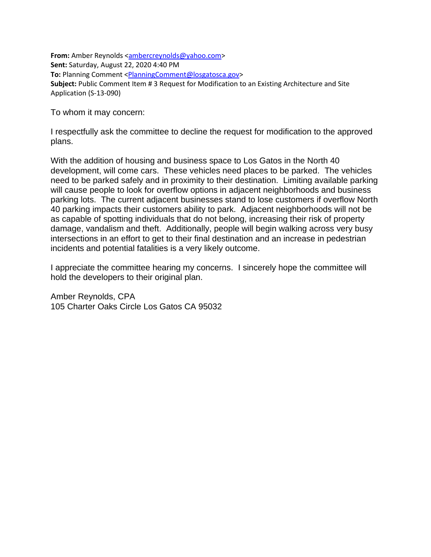**From:** Amber Reynolds [<ambercreynolds@yahoo.com>](mailto:ambercreynolds@yahoo.com) **Sent:** Saturday, August 22, 2020 4:40 PM **To:** Planning Comment [<PlanningComment@losgatosca.gov>](mailto:PlanningComment@losgatosca.gov) **Subject:** Public Comment Item # 3 Request for Modification to an Existing Architecture and Site Application (S-13-090)

To whom it may concern:

I respectfully ask the committee to decline the request for modification to the approved plans.

With the addition of housing and business space to Los Gatos in the North 40 development, will come cars. These vehicles need places to be parked. The vehicles need to be parked safely and in proximity to their destination. Limiting available parking will cause people to look for overflow options in adjacent neighborhoods and business parking lots. The current adjacent businesses stand to lose customers if overflow North 40 parking impacts their customers ability to park. Adjacent neighborhoods will not be as capable of spotting individuals that do not belong, increasing their risk of property damage, vandalism and theft. Additionally, people will begin walking across very busy intersections in an effort to get to their final destination and an increase in pedestrian incidents and potential fatalities is a very likely outcome.

I appreciate the committee hearing my concerns. I sincerely hope the committee will hold the developers to their original plan.

Amber Reynolds, CPA 105 Charter Oaks Circle Los Gatos CA 95032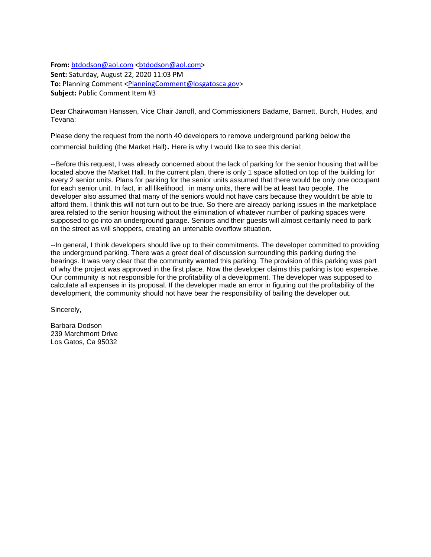**From:** [btdodson@aol.com](mailto:btdodson@aol.com) [<btdodson@aol.com>](mailto:btdodson@aol.com) **Sent:** Saturday, August 22, 2020 11:03 PM **To:** Planning Comment [<PlanningComment@losgatosca.gov>](mailto:PlanningComment@losgatosca.gov) **Subject:** Public Comment Item #3

Dear Chairwoman Hanssen, Vice Chair Janoff, and Commissioners Badame, Barnett, Burch, Hudes, and Tevana:

Please deny the request from the north 40 developers to remove underground parking below the commercial building (the Market Hall). Here is why I would like to see this denial:

--Before this request, I was already concerned about the lack of parking for the senior housing that will be located above the Market Hall. In the current plan, there is only 1 space allotted on top of the building for every 2 senior units. Plans for parking for the senior units assumed that there would be only one occupant for each senior unit. In fact, in all likelihood, in many units, there will be at least two people. The developer also assumed that many of the seniors would not have cars because they wouldn't be able to afford them. I think this will not turn out to be true. So there are already parking issues in the marketplace area related to the senior housing without the elimination of whatever number of parking spaces were supposed to go into an underground garage. Seniors and their guests will almost certainly need to park on the street as will shoppers, creating an untenable overflow situation.

--In general, I think developers should live up to their commitments. The developer committed to providing the underground parking. There was a great deal of discussion surrounding this parking during the hearings. It was very clear that the community wanted this parking. The provision of this parking was part of why the project was approved in the first place. Now the developer claims this parking is too expensive. Our community is not responsible for the profitability of a development. The developer was supposed to calculate all expenses in its proposal. If the developer made an error in figuring out the profitability of the development, the community should not have bear the responsibility of bailing the developer out.

Sincerely,

Barbara Dodson 239 Marchmont Drive Los Gatos, Ca 95032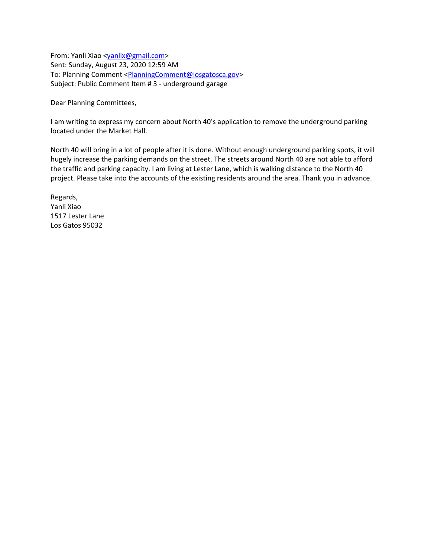From: Yanli Xiao [<yanlix@gmail.com>](mailto:yanlix@gmail.com) Sent: Sunday, August 23, 2020 12:59 AM To: Planning Comment [<PlanningComment@losgatosca.gov>](mailto:PlanningComment@losgatosca.gov) Subject: Public Comment Item # 3 - underground garage

Dear Planning Committees,

I am writing to express my concern about North 40's application to remove the underground parking located under the Market Hall.

North 40 will bring in a lot of people after it is done. Without enough underground parking spots, it will hugely increase the parking demands on the street. The streets around North 40 are not able to afford the traffic and parking capacity. I am living at Lester Lane, which is walking distance to the North 40 project. Please take into the accounts of the existing residents around the area. Thank you in advance.

Regards, Yanli Xiao 1517 Lester Lane Los Gatos 95032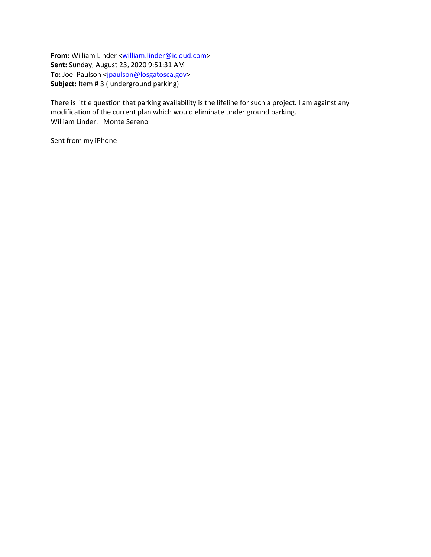From: William Linder [<william.linder@icloud.com>](mailto:william.linder@icloud.com) **Sent:** Sunday, August 23, 2020 9:51:31 AM To: Joel Paulson [<jpaulson@losgatosca.gov>](mailto:jpaulson@losgatosca.gov) Subject: Item # 3 ( underground parking)

There is little question that parking availability is the lifeline for such a project. I am against any modification of the current plan which would eliminate under ground parking. William Linder. Monte Sereno

Sent from my iPhone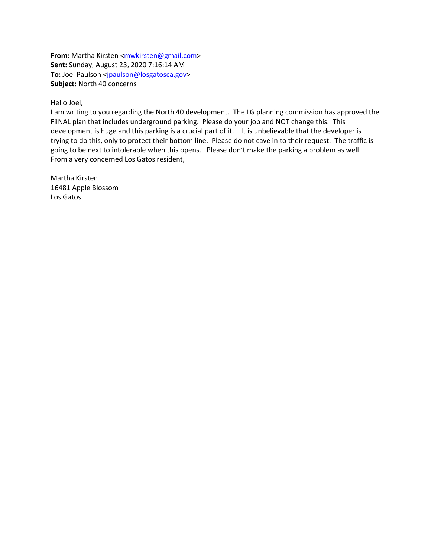**From:** Martha Kirsten [<mwkirsten@gmail.com>](mailto:mwkirsten@gmail.com) **Sent:** Sunday, August 23, 2020 7:16:14 AM To: Joel Paulson [<jpaulson@losgatosca.gov>](mailto:jpaulson@losgatosca.gov) **Subject:** North 40 concerns

Hello Joel,

I am writing to you regarding the North 40 development. The LG planning commission has approved the FiINAL plan that includes underground parking. Please do your job and NOT change this. This development is huge and this parking is a crucial part of it. It is unbelievable that the developer is trying to do this, only to protect their bottom line. Please do not cave in to their request. The traffic is going to be next to intolerable when this opens. Please don't make the parking a problem as well. From a very concerned Los Gatos resident,

Martha Kirsten 16481 Apple Blossom Los Gatos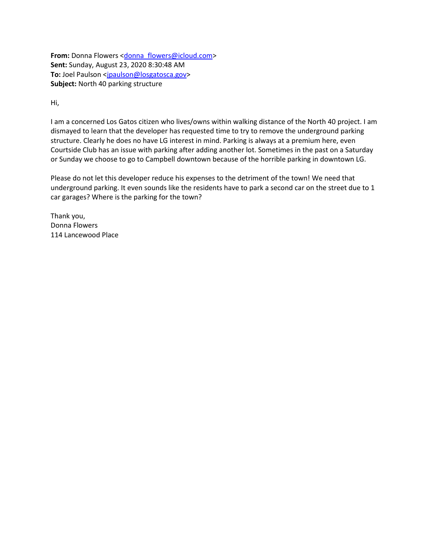**From:** Donna Flowers [<donna\\_flowers@icloud.com>](mailto:donna_flowers@icloud.com) **Sent:** Sunday, August 23, 2020 8:30:48 AM To: Joel Paulson [<jpaulson@losgatosca.gov>](mailto:jpaulson@losgatosca.gov) **Subject:** North 40 parking structure

Hi,

I am a concerned Los Gatos citizen who lives/owns within walking distance of the North 40 project. I am dismayed to learn that the developer has requested time to try to remove the underground parking structure. Clearly he does no have LG interest in mind. Parking is always at a premium here, even Courtside Club has an issue with parking after adding another lot. Sometimes in the past on a Saturday or Sunday we choose to go to Campbell downtown because of the horrible parking in downtown LG.

Please do not let this developer reduce his expenses to the detriment of the town! We need that underground parking. It even sounds like the residents have to park a second car on the street due to 1 car garages? Where is the parking for the town?

Thank you, Donna Flowers 114 Lancewood Place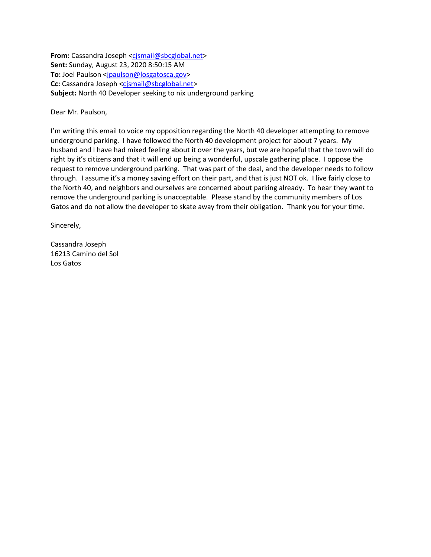**From:** Cassandra Joseph [<cjsmail@sbcglobal.net>](mailto:cjsmail@sbcglobal.net) **Sent:** Sunday, August 23, 2020 8:50:15 AM **To:** Joel Paulson [<jpaulson@losgatosca.gov>](mailto:jpaulson@losgatosca.gov) **Cc:** Cassandra Joseph [<cjsmail@sbcglobal.net>](mailto:cjsmail@sbcglobal.net) **Subject:** North 40 Developer seeking to nix underground parking

Dear Mr. Paulson,

I'm writing this email to voice my opposition regarding the North 40 developer attempting to remove underground parking. I have followed the North 40 development project for about 7 years. My husband and I have had mixed feeling about it over the years, but we are hopeful that the town will do right by it's citizens and that it will end up being a wonderful, upscale gathering place. I oppose the request to remove underground parking. That was part of the deal, and the developer needs to follow through. I assume it's a money saving effort on their part, and that is just NOT ok. I live fairly close to the North 40, and neighbors and ourselves are concerned about parking already. To hear they want to remove the underground parking is unacceptable. Please stand by the community members of Los Gatos and do not allow the developer to skate away from their obligation. Thank you for your time.

Sincerely,

Cassandra Joseph 16213 Camino del Sol Los Gatos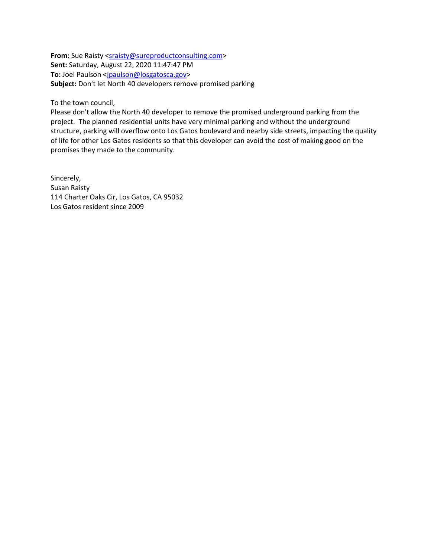**From:** Sue Raisty [<sraisty@sureproductconsulting.com>](mailto:sraisty@sureproductconsulting.com) **Sent:** Saturday, August 22, 2020 11:47:47 PM To: Joel Paulson [<jpaulson@losgatosca.gov>](mailto:jpaulson@losgatosca.gov) **Subject:** Don't let North 40 developers remove promised parking

## To the town council,

Please don't allow the North 40 developer to remove the promised underground parking from the project. The planned residential units have very minimal parking and without the underground structure, parking will overflow onto Los Gatos boulevard and nearby side streets, impacting the quality of life for other Los Gatos residents so that this developer can avoid the cost of making good on the promises they made to the community.

Sincerely, Susan Raisty 114 Charter Oaks Cir, Los Gatos, CA 95032 Los Gatos resident since 2009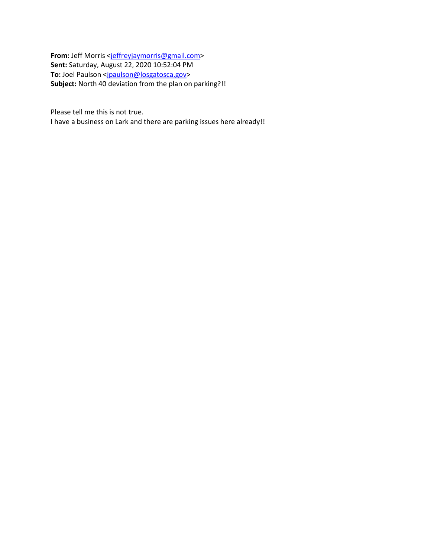From: Jeff Morris [<jeffreyjaymorris@gmail.com>](mailto:jeffreyjaymorris@gmail.com) **Sent:** Saturday, August 22, 2020 10:52:04 PM To: Joel Paulson [<jpaulson@losgatosca.gov>](mailto:jpaulson@losgatosca.gov) **Subject:** North 40 deviation from the plan on parking?!!

Please tell me this is not true.

I have a business on Lark and there are parking issues here already!!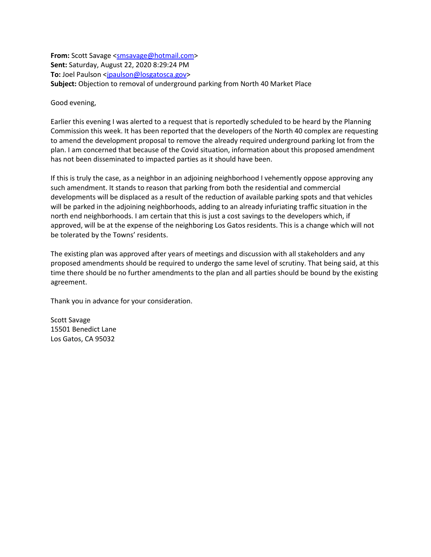**From:** Scott Savage [<smsavage@hotmail.com>](mailto:smsavage@hotmail.com) **Sent:** Saturday, August 22, 2020 8:29:24 PM **To:** Joel Paulson [<jpaulson@losgatosca.gov>](mailto:jpaulson@losgatosca.gov) **Subject:** Objection to removal of underground parking from North 40 Market Place

Good evening,

Earlier this evening I was alerted to a request that is reportedly scheduled to be heard by the Planning Commission this week. It has been reported that the developers of the North 40 complex are requesting to amend the development proposal to remove the already required underground parking lot from the plan. I am concerned that because of the Covid situation, information about this proposed amendment has not been disseminated to impacted parties as it should have been.

If this is truly the case, as a neighbor in an adjoining neighborhood I vehemently oppose approving any such amendment. It stands to reason that parking from both the residential and commercial developments will be displaced as a result of the reduction of available parking spots and that vehicles will be parked in the adjoining neighborhoods, adding to an already infuriating traffic situation in the north end neighborhoods. I am certain that this is just a cost savings to the developers which, if approved, will be at the expense of the neighboring Los Gatos residents. This is a change which will not be tolerated by the Towns' residents.

The existing plan was approved after years of meetings and discussion with all stakeholders and any proposed amendments should be required to undergo the same level of scrutiny. That being said, at this time there should be no further amendments to the plan and all parties should be bound by the existing agreement.

Thank you in advance for your consideration.

Scott Savage 15501 Benedict Lane Los Gatos, CA 95032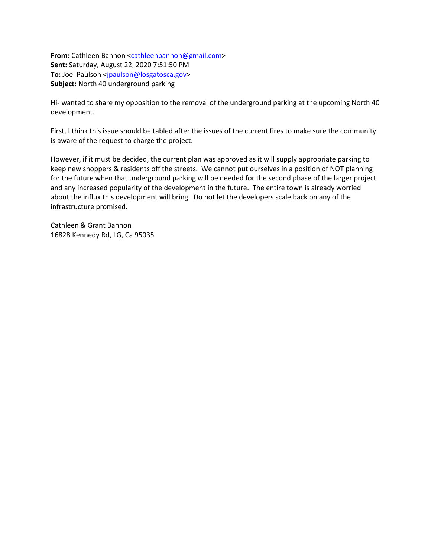**From:** Cathleen Bannon [<cathleenbannon@gmail.com>](mailto:cathleenbannon@gmail.com) **Sent:** Saturday, August 22, 2020 7:51:50 PM To: Joel Paulson [<jpaulson@losgatosca.gov>](mailto:jpaulson@losgatosca.gov) **Subject:** North 40 underground parking

Hi- wanted to share my opposition to the removal of the underground parking at the upcoming North 40 development.

First, I think this issue should be tabled after the issues of the current fires to make sure the community is aware of the request to charge the project.

However, if it must be decided, the current plan was approved as it will supply appropriate parking to keep new shoppers & residents off the streets. We cannot put ourselves in a position of NOT planning for the future when that underground parking will be needed for the second phase of the larger project and any increased popularity of the development in the future. The entire town is already worried about the influx this development will bring. Do not let the developers scale back on any of the infrastructure promised.

Cathleen & Grant Bannon 16828 Kennedy Rd, LG, Ca 95035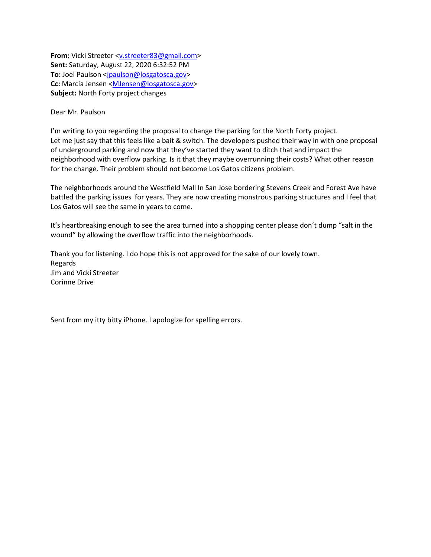**From:** Vicki Streeter [<v.streeter83@gmail.com>](mailto:v.streeter83@gmail.com) **Sent:** Saturday, August 22, 2020 6:32:52 PM **To:** Joel Paulson [<jpaulson@losgatosca.gov>](mailto:jpaulson@losgatosca.gov) **Cc:** Marcia Jensen [<MJensen@losgatosca.gov>](mailto:MJensen@losgatosca.gov) **Subject:** North Forty project changes

## Dear Mr. Paulson

I'm writing to you regarding the proposal to change the parking for the North Forty project. Let me just say that this feels like a bait & switch. The developers pushed their way in with one proposal of underground parking and now that they've started they want to ditch that and impact the neighborhood with overflow parking. Is it that they maybe overrunning their costs? What other reason for the change. Their problem should not become Los Gatos citizens problem.

The neighborhoods around the Westfield Mall In San Jose bordering Stevens Creek and Forest Ave have battled the parking issues for years. They are now creating monstrous parking structures and I feel that Los Gatos will see the same in years to come.

It's heartbreaking enough to see the area turned into a shopping center please don't dump "salt in the wound" by allowing the overflow traffic into the neighborhoods.

Thank you for listening. I do hope this is not approved for the sake of our lovely town. Regards Jim and Vicki Streeter Corinne Drive

Sent from my itty bitty iPhone. I apologize for spelling errors.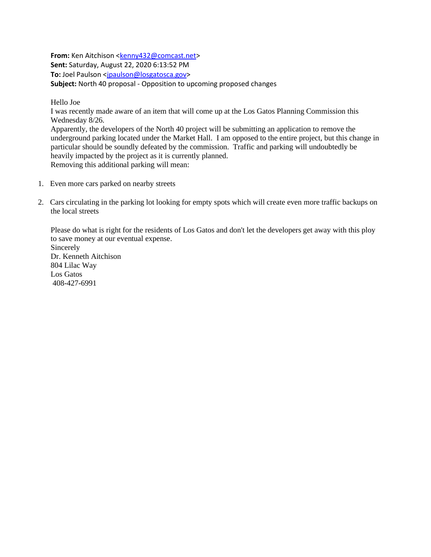**From:** Ken Aitchison [<kenny432@comcast.net>](mailto:kenny432@comcast.net) **Sent:** Saturday, August 22, 2020 6:13:52 PM To: Joel Paulson [<jpaulson@losgatosca.gov>](mailto:jpaulson@losgatosca.gov) **Subject:** North 40 proposal - Opposition to upcoming proposed changes

Hello Joe

I was recently made aware of an item that will come up at the Los Gatos Planning Commission this Wednesday 8/26.

Apparently, the developers of the North 40 project will be submitting an application to remove the underground parking located under the Market Hall. I am opposed to the entire project, but this change in particular should be soundly defeated by the commission. Traffic and parking will undoubtedly be heavily impacted by the project as it is currently planned. Removing this additional parking will mean:

- 1. Even more cars parked on nearby streets
- 2. Cars circulating in the parking lot looking for empty spots which will create even more traffic backups on the local streets

Please do what is right for the residents of Los Gatos and don't let the developers get away with this ploy to save money at our eventual expense.

Sincerely Dr. Kenneth Aitchison 804 Lilac Way Los Gatos 408-427-6991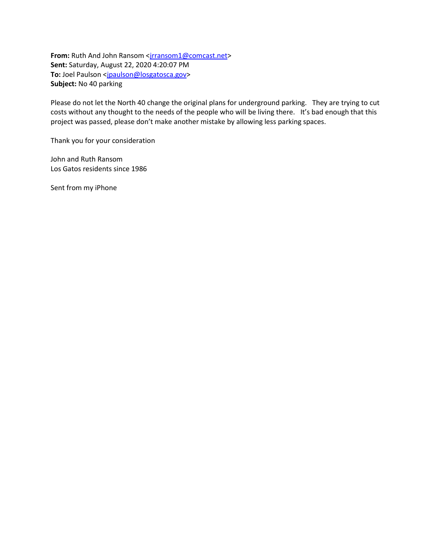**From:** Ruth And John Ransom <jransom1@comcast.net> **Sent:** Saturday, August 22, 2020 4:20:07 PM To: Joel Paulson [<jpaulson@losgatosca.gov>](mailto:jpaulson@losgatosca.gov) **Subject:** No 40 parking

Please do not let the North 40 change the original plans for underground parking. They are trying to cut costs without any thought to the needs of the people who will be living there. It's bad enough that this project was passed, please don't make another mistake by allowing less parking spaces.

Thank you for your consideration

John and Ruth Ransom Los Gatos residents since 1986

Sent from my iPhone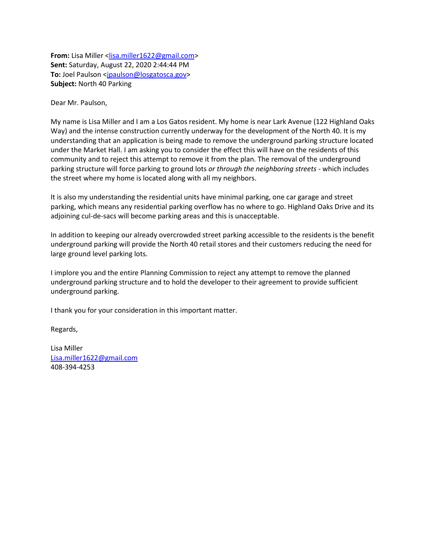**From:** Lisa Miller [<lisa.miller1622@gmail.com>](mailto:lisa.miller1622@gmail.com) **Sent:** Saturday, August 22, 2020 2:44:44 PM **To:** Joel Paulson [<jpaulson@losgatosca.gov>](mailto:jpaulson@losgatosca.gov) **Subject:** North 40 Parking

Dear Mr. Paulson,

My name is Lisa Miller and I am a Los Gatos resident. My home is near Lark Avenue (122 Highland Oaks Way) and the intense construction currently underway for the development of the North 40. It is my understanding that an application is being made to remove the underground parking structure located under the Market Hall. I am asking you to consider the effect this will have on the residents of this community and to reject this attempt to remove it from the plan. The removal of the underground parking structure will force parking to ground lots *or through the neighboring streets* - which includes the street where my home is located along with all my neighbors.

It is also my understanding the residential units have minimal parking, one car garage and street parking, which means any residential parking overflow has no where to go. Highland Oaks Drive and its adjoining cul-de-sacs will become parking areas and this is unacceptable.

In addition to keeping our already overcrowded street parking accessible to the residents is the benefit underground parking will provide the North 40 retail stores and their customers reducing the need for large ground level parking lots.

I implore you and the entire Planning Commission to reject any attempt to remove the planned underground parking structure and to hold the developer to their agreement to provide sufficient underground parking.

I thank you for your consideration in this important matter.

Regards,

Lisa Miller [Lisa.miller1622@gmail.com](mailto:Lisa.miller1622@gmail.com) 408-394-4253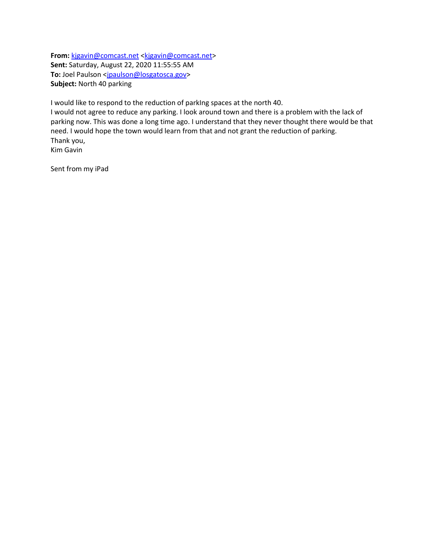**From:** [kjgavin@comcast.net](mailto:kjgavin@comcast.net) [<kjgavin@comcast.net>](mailto:kjgavin@comcast.net) **Sent:** Saturday, August 22, 2020 11:55:55 AM To: Joel Paulson [<jpaulson@losgatosca.gov>](mailto:jpaulson@losgatosca.gov) **Subject:** North 40 parking

I would like to respond to the reduction of parkIng spaces at the north 40.

I would not agree to reduce any parking. I look around town and there is a problem with the lack of parking now. This was done a long time ago. I understand that they never thought there would be that need. I would hope the town would learn from that and not grant the reduction of parking. Thank you, Kim Gavin

Sent from my iPad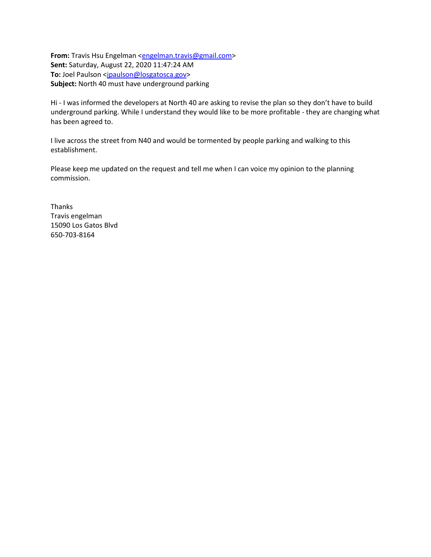From: Travis Hsu Engelman [<engelman.travis@gmail.com>](mailto:engelman.travis@gmail.com) **Sent:** Saturday, August 22, 2020 11:47:24 AM To: Joel Paulson [<jpaulson@losgatosca.gov>](mailto:jpaulson@losgatosca.gov) **Subject:** North 40 must have underground parking

Hi - I was informed the developers at North 40 are asking to revise the plan so they don't have to build underground parking. While I understand they would like to be more profitable - they are changing what has been agreed to.

I live across the street from N40 and would be tormented by people parking and walking to this establishment.

Please keep me updated on the request and tell me when I can voice my opinion to the planning commission.

Thanks Travis engelman 15090 Los Gatos Blvd 650-703-8164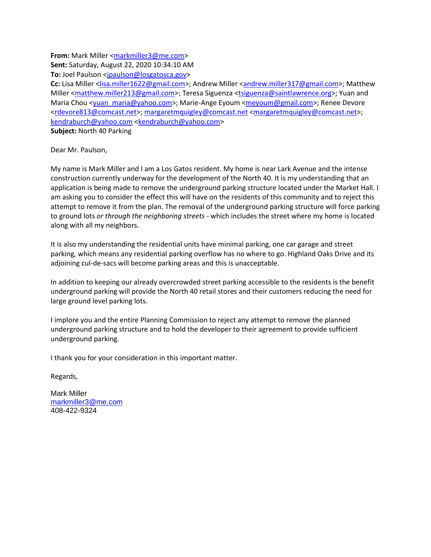**From:** Mark Miller [<markmiller3@me.com>](mailto:markmiller3@me.com) **Sent:** Saturday, August 22, 2020 10:34:10 AM **To:** Joel Paulson [<jpaulson@losgatosca.gov>](mailto:jpaulson@losgatosca.gov) **Cc:** Lisa Miller [<lisa.miller1622@gmail.com>](mailto:lisa.miller1622@gmail.com); Andrew Miller [<andrew.miller317@gmail.com>](mailto:andrew.miller317@gmail.com); Matthew Miller [<matthew.miller213@gmail.com>](mailto:matthew.miller213@gmail.com); Teresa Siguenza [<tsiguenza@saintlawrence.org>](mailto:tsiguenza@saintlawrence.org); Yuan and Maria Chou [<yuan\\_maria@yahoo.com>](mailto:yuan_maria@yahoo.com); Marie-Ange Eyoum [<meyoum@gmail.com>](mailto:meyoum@gmail.com); Renee Devore [<rdevore813@comcast.net>](mailto:rdevore813@comcast.net); [margaretmquigley@comcast.net](mailto:margaretmquigley@comcast.net) [<margaretmquigley@comcast.net>](mailto:margaretmquigley@comcast.net); [kendraburch@yahoo.com](mailto:kendraburch@yahoo.com) [<kendraburch@yahoo.com>](mailto:kendraburch@yahoo.com) **Subject:** North 40 Parking

Dear Mr. Paulson,

My name is Mark Miller and I am a Los Gatos resident. My home is near Lark Avenue and the intense construction currently underway for the development of the North 40. It is my understanding that an application is being made to remove the underground parking structure located under the Market Hall. I am asking you to consider the effect this will have on the residents of this community and to reject this attempt to remove it from the plan. The removal of the underground parking structure will force parking to ground lots *or through the neighboring streets* - which includes the street where my home is located along with all my neighbors.

It is also my understanding the residential units have minimal parking, one car garage and street parking, which means any residential parking overflow has no where to go. Highland Oaks Drive and its adjoining cul-de-sacs will become parking areas and this is unacceptable.

In addition to keeping our already overcrowded street parking accessible to the residents is the benefit underground parking will provide the North 40 retail stores and their customers reducing the need for large ground level parking lots.

I implore you and the entire Planning Commission to reject any attempt to remove the planned underground parking structure and to hold the developer to their agreement to provide sufficient underground parking.

I thank you for your consideration in this important matter.

Regards,

Mark Miller [markmiller3@me.com](mailto:markmiller3@me.com) 408-422-9324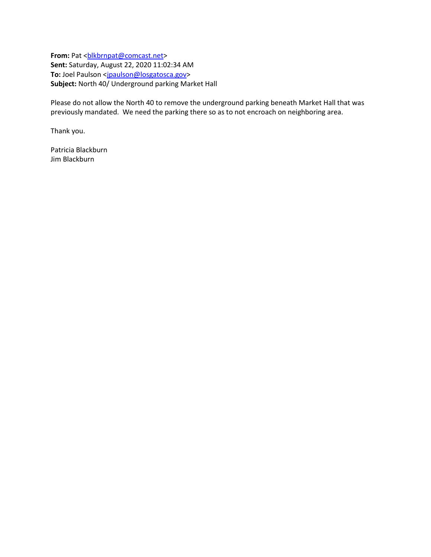**From:** Pat <br/> <br/> $$ **Sent:** Saturday, August 22, 2020 11:02:34 AM To: Joel Paulson [<jpaulson@losgatosca.gov>](mailto:jpaulson@losgatosca.gov) **Subject:** North 40/ Underground parking Market Hall

Please do not allow the North 40 to remove the underground parking beneath Market Hall that was previously mandated. We need the parking there so as to not encroach on neighboring area.

Thank you.

Patricia Blackburn Jim Blackburn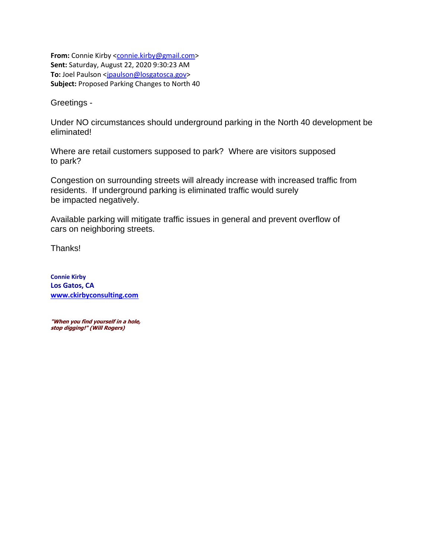**From:** Connie Kirby [<connie.kirby@gmail.com>](mailto:connie.kirby@gmail.com) **Sent:** Saturday, August 22, 2020 9:30:23 AM To: Joel Paulson [<jpaulson@losgatosca.gov>](mailto:jpaulson@losgatosca.gov) **Subject:** Proposed Parking Changes to North 40

Greetings -

Under NO circumstances should underground parking in the North 40 development be eliminated!

Where are retail customers supposed to park? Where are visitors supposed to park?

Congestion on surrounding streets will already increase with increased traffic from residents. If underground parking is eliminated traffic would surely be impacted negatively.

Available parking will mitigate traffic issues in general and prevent overflow of cars on neighboring streets.

Thanks!

**Connie Kirby Los Gatos, CA [www.ckirbyconsulting.com](https://gcc02.safelinks.protection.outlook.com/?url=http%3A%2F%2Fwww.ckirbyconsulting.com%2F&data=01%7C01%7Cjpaulson%40losgatosca.gov%7C1c56ccfc16c74b0f5c7908d846b8b34a%7C6d38cb6747eb4d139e7c523cd7ccecd5%7C1&sdata=9oapYZmn5NXSeL41od19qFc0H0bE8DRf6%2FrQQLasoKQ%3D&reserved=0)**

**"When you find yourself in a hole, stop digging!" (Will Rogers)**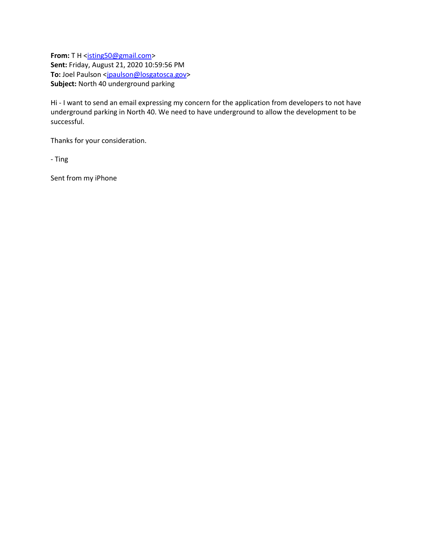**From:** T H [<isting50@gmail.com>](mailto:isting50@gmail.com) **Sent:** Friday, August 21, 2020 10:59:56 PM To: Joel Paulson [<jpaulson@losgatosca.gov>](mailto:jpaulson@losgatosca.gov) **Subject:** North 40 underground parking

Hi - I want to send an email expressing my concern for the application from developers to not have underground parking in North 40. We need to have underground to allow the development to be successful.

Thanks for your consideration.

- Ting

Sent from my iPhone